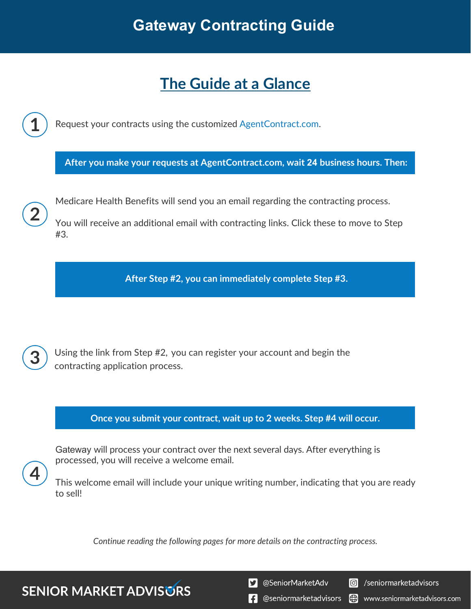# **The Guide at a Glance**

Request your contracts using the customized [AgentContract.com.](http://agentcontracting.com/) **After you make your requests at AgentContract.com, wait 24 business hours. Then:**  Medicare Health Benefits will send you an email regarding the contracting process. You will receive an additional email with contracting links. Click these to move to Step #3. **After Step #2, you can immediately complete Step #3.** 

Using the link from Step #2, you can register your account and begin the contracting application process.

**Once you submit your contract, wait up to 2 weeks. Step #4 will occur.**

Gateway will process your contract over the next several days. After everything is processed, you will receive a welcome email.

This welcome email will include your unique writing number, indicating that you are ready to sell!

*Continue reading the following pages for more details on the contracting process.*

**SENIOR MARKET ADVISURS** 

S @SeniorMarketAdv

Seniormarketadvisors

**1** @seniormarketadvisors (.) www.seniormarketadvisors.com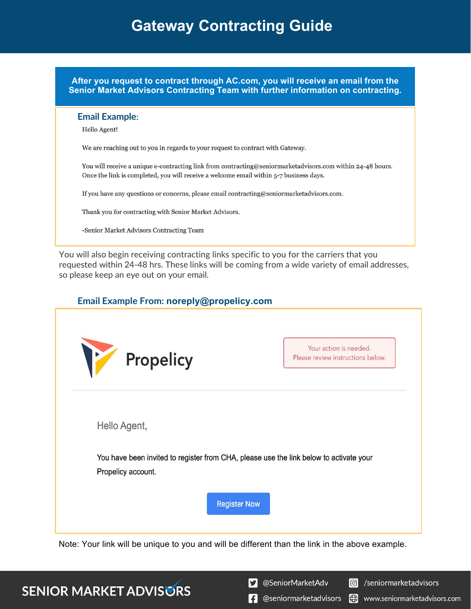**After you request to contract through AC.com, you will receive an email from the Senior Market Advisors Contracting Team with further information on contracting.**

#### **Email Example**:

Hello Agent!

We are reaching out to you in regards to your request to contract with Gateway.

You will receive a unique e-contracting link from contracting@seniormarketadvisors.com within 24-48 hours. Once the link is completed, you will receive a welcome email within 5-7 business days.

If you have any questions or concerns, please email contracting@seniormarketadvisors.com.

Thank you for contracting with Senior Market Advisors.

-Senior Market Advisors Contracting Team

You will also begin receiving contracting links specific to you for the carriers that you requested within 24-48 hrs. These links will be coming from a wide variety of email addresses, so please keep an eye out on your email.

### **Email Example From: noreply@propelicy.com**

| Your action is needed.<br>Please review instructions below.                            |  |  |  |  |
|----------------------------------------------------------------------------------------|--|--|--|--|
|                                                                                        |  |  |  |  |
| You have been invited to register from CHA, please use the link below to activate your |  |  |  |  |
| Propelicy account.                                                                     |  |  |  |  |
| <b>Register Now</b>                                                                    |  |  |  |  |
|                                                                                        |  |  |  |  |

Note: Your link will be unique to you and will be different than the link in the above example.

### **SENIOR MARKET ADVISURS**

S @SeniorMarketAdv

C /seniormarketadvisors

 $\left| \cdot \right|$  @seniormarketadvisors Ð www.seniormarketadvisors.com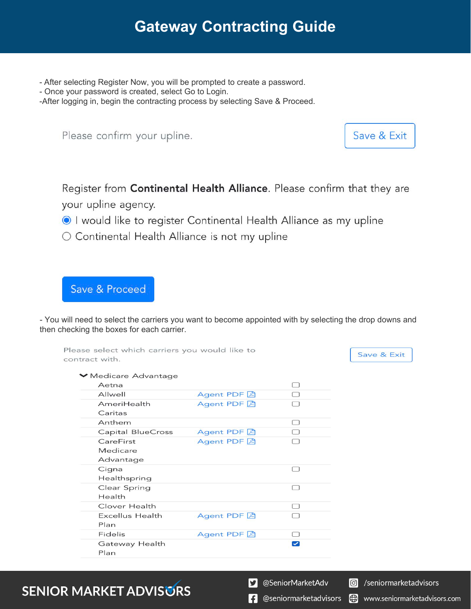- After selecting Register Now, you will be prompted to create a password.
- Once your password is created, select Go to Login.

-After logging in, begin the contracting process by selecting Save & Proceed.

Please confirm your upline.

Save & Exit

Register from Continental Health Alliance. Please confirm that they are your upline agency.

- I would like to register Continental Health Alliance as my upline
- Continental Health Alliance is not my upline

Save & Proceed

- You will need to select the carriers you want to become appointed with by selecting the drop downs and then checking the boxes for each carrier.

|                | Please select which carriers you would like to |             |                       | Save & Exit |
|----------------|------------------------------------------------|-------------|-----------------------|-------------|
| contract with. |                                                |             |                       |             |
|                | ▼ Medicare Advantage                           |             |                       |             |
|                | Aetna                                          |             |                       |             |
|                | Allwell                                        | Agent PDF A |                       |             |
|                | AmeriHealth<br>Caritas                         | Agent PDF 因 |                       |             |
|                | Anthem                                         |             |                       |             |
|                | Capital BlueCross                              | Agent PDF 因 |                       |             |
|                | CareFirst<br>Medicare<br>Advantage             | Agent PDF A |                       |             |
|                | Cigna<br>Healthspring                          |             |                       |             |
|                | Clear Spring<br>Health                         |             |                       |             |
|                | Clover Health                                  |             |                       |             |
|                | <b>Excellus Health</b><br>Plan                 | Agent PDF 因 |                       |             |
|                | <b>Fidelis</b>                                 | Agent PDF 因 |                       |             |
|                | Gateway Health<br>Plan                         |             | $\blacktriangleright$ |             |
|                |                                                |             |                       |             |

# **SENIOR MARKET ADVISURS**

S @SeniorMarketAdv

Seniormarketadvisors

(.) www.seniormarketadvisors.com

**1** @seniormarketadvisors